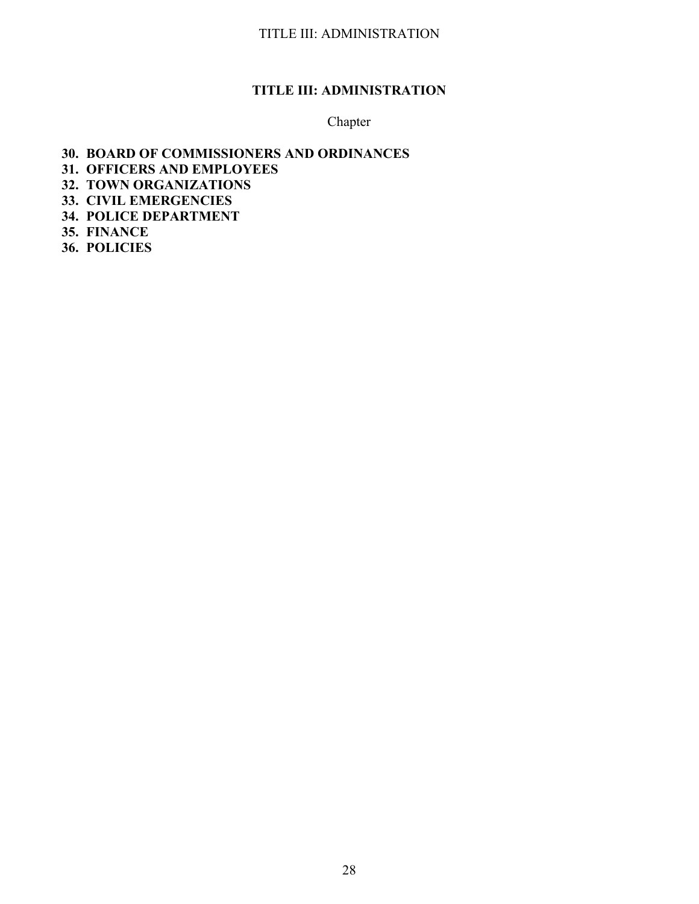# **TITLE III: ADMINISTRATION**

## Chapter

## **30. BOARD OF COMMISSIONERS AND ORDINANCES**

- **31. OFFICERS AND EMPLOYEES**
- **32. TOWN ORGANIZATIONS**
- **33. CIVIL EMERGENCIES**
- **34. POLICE DEPARTMENT**
- **35. FINANCE**
- **36. POLICIES**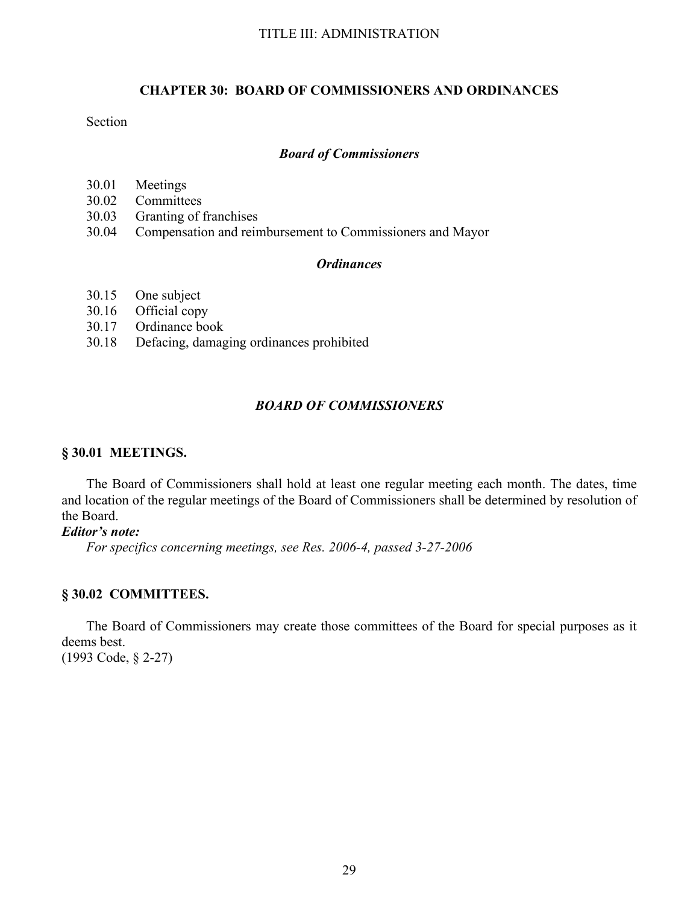## **CHAPTER 30: BOARD OF COMMISSIONERS AND ORDINANCES**

## Section

### *Board of Commissioners*

- 30.01 Meetings
- 30.02 Committees
- 30.03 Granting of franchises
- 30.04 Compensation and reimbursement to Commissioners and Mayor

## *Ordinances*

- 30.15 One subject<br>30.16 Official copy
- Official copy
- 30.17 Ordinance book
- 30.18 Defacing, damaging ordinances prohibited

## *BOARD OF COMMISSIONERS*

## **§ 30.01 MEETINGS.**

The Board of Commissioners shall hold at least one regular meeting each month. The dates, time and location of the regular meetings of the Board of Commissioners shall be determined by resolution of the Board.

### *Editor's note:*

*For specifics concerning meetings, see Res. 2006-4, passed 3-27-2006*

### **§ 30.02 COMMITTEES.**

The Board of Commissioners may create those committees of the Board for special purposes as it deems best. (1993 Code, § 2-27)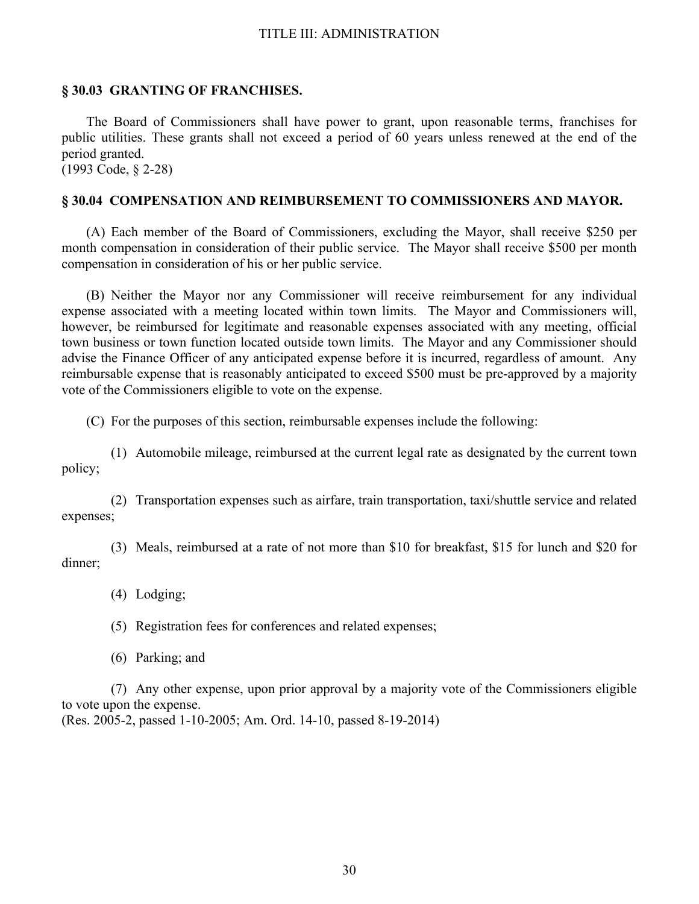### **§ 30.03 GRANTING OF FRANCHISES.**

The Board of Commissioners shall have power to grant, upon reasonable terms, franchises for public utilities. These grants shall not exceed a period of 60 years unless renewed at the end of the period granted.

(1993 Code, § 2-28)

### **§ 30.04 COMPENSATION AND REIMBURSEMENT TO COMMISSIONERS AND MAYOR.**

(A) Each member of the Board of Commissioners, excluding the Mayor, shall receive \$250 per month compensation in consideration of their public service. The Mayor shall receive \$500 per month compensation in consideration of his or her public service.

(B) Neither the Mayor nor any Commissioner will receive reimbursement for any individual expense associated with a meeting located within town limits. The Mayor and Commissioners will, however, be reimbursed for legitimate and reasonable expenses associated with any meeting, official town business or town function located outside town limits. The Mayor and any Commissioner should advise the Finance Officer of any anticipated expense before it is incurred, regardless of amount. Any reimbursable expense that is reasonably anticipated to exceed \$500 must be pre-approved by a majority vote of the Commissioners eligible to vote on the expense.

(C) For the purposes of this section, reimbursable expenses include the following:

 (1) Automobile mileage, reimbursed at the current legal rate as designated by the current town policy;

 (2) Transportation expenses such as airfare, train transportation, taxi/shuttle service and related expenses;

 (3) Meals, reimbursed at a rate of not more than \$10 for breakfast, \$15 for lunch and \$20 for dinner;

(4) Lodging;

(5) Registration fees for conferences and related expenses;

(6) Parking; and

 (7) Any other expense, upon prior approval by a majority vote of the Commissioners eligible to vote upon the expense.

(Res. 2005-2, passed 1-10-2005; Am. Ord. 14-10, passed 8-19-2014)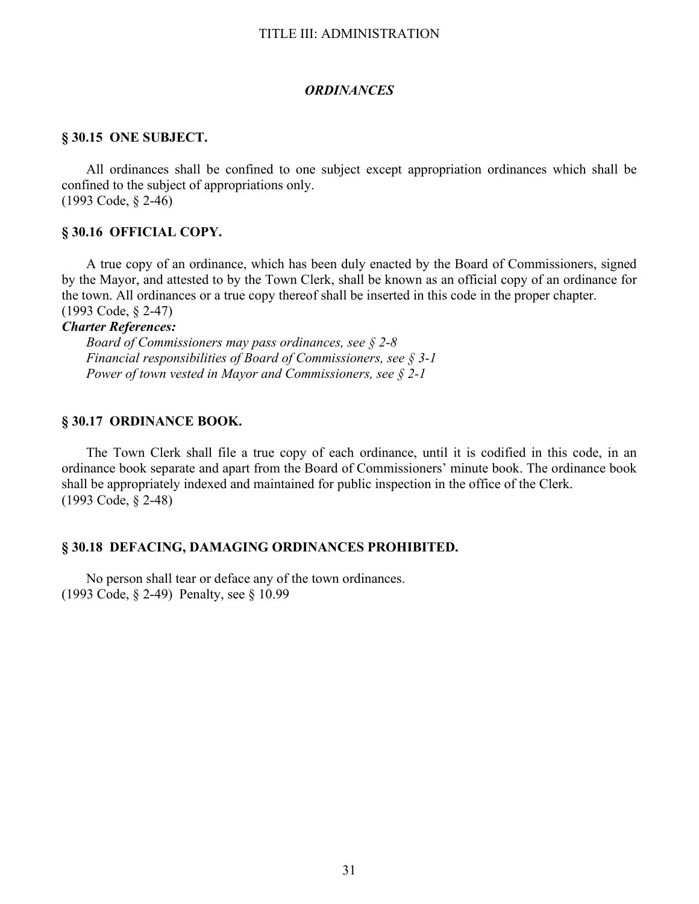#### *ORDINANCES*

### **§ 30.15 ONE SUBJECT.**

All ordinances shall be confined to one subject except appropriation ordinances which shall be confined to the subject of appropriations only. (1993 Code, § 2-46)

### **§ 30.16 OFFICIAL COPY.**

A true copy of an ordinance, which has been duly enacted by the Board of Commissioners, signed by the Mayor, and attested to by the Town Clerk, shall be known as an official copy of an ordinance for the town. All ordinances or a true copy thereof shall be inserted in this code in the proper chapter. (1993 Code, § 2-47)

## *Charter References:*

 *Board of Commissioners may pass ordinances, see § 2-8 Financial responsibilities of Board of Commissioners, see § 3-1 Power of town vested in Mayor and Commissioners, see § 2-1*

### **§ 30.17 ORDINANCE BOOK.**

The Town Clerk shall file a true copy of each ordinance, until it is codified in this code, in an ordinance book separate and apart from the Board of Commissioners' minute book. The ordinance book shall be appropriately indexed and maintained for public inspection in the office of the Clerk. (1993 Code, § 2-48)

#### **§ 30.18 DEFACING, DAMAGING ORDINANCES PROHIBITED.**

 No person shall tear or deface any of the town ordinances. (1993 Code, § 2-49) Penalty, see § 10.99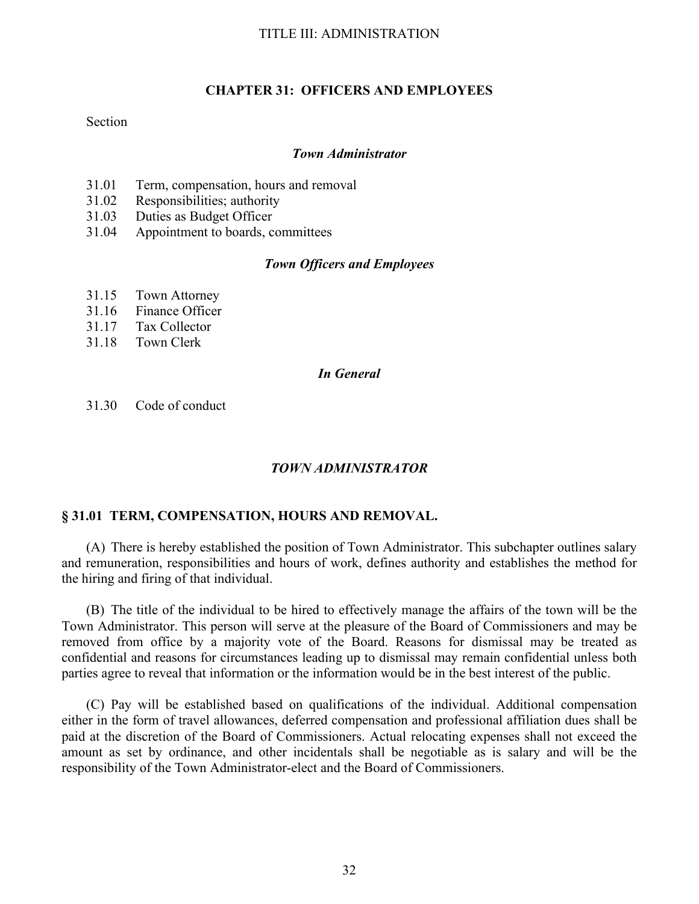## **CHAPTER 31: OFFICERS AND EMPLOYEES**

### Section

### *Town Administrator*

- 31.01 Term, compensation, hours and removal
- 31.02 Responsibilities; authority
- 31.03 Duties as Budget Officer
- 31.04 Appointment to boards, committees

## *Town Officers and Employees*

- 31.15 Town Attorney
- 31.16 Finance Officer
- 31.17 Tax Collector
- 31.18 Town Clerk

## *In General*

31.30 Code of conduct

### *TOWN ADMINISTRATOR*

## **§ 31.01 TERM, COMPENSATION, HOURS AND REMOVAL.**

(A) There is hereby established the position of Town Administrator. This subchapter outlines salary and remuneration, responsibilities and hours of work, defines authority and establishes the method for the hiring and firing of that individual.

(B) The title of the individual to be hired to effectively manage the affairs of the town will be the Town Administrator. This person will serve at the pleasure of the Board of Commissioners and may be removed from office by a majority vote of the Board. Reasons for dismissal may be treated as confidential and reasons for circumstances leading up to dismissal may remain confidential unless both parties agree to reveal that information or the information would be in the best interest of the public.

(C) Pay will be established based on qualifications of the individual. Additional compensation either in the form of travel allowances, deferred compensation and professional affiliation dues shall be paid at the discretion of the Board of Commissioners. Actual relocating expenses shall not exceed the amount as set by ordinance, and other incidentals shall be negotiable as is salary and will be the responsibility of the Town Administrator-elect and the Board of Commissioners.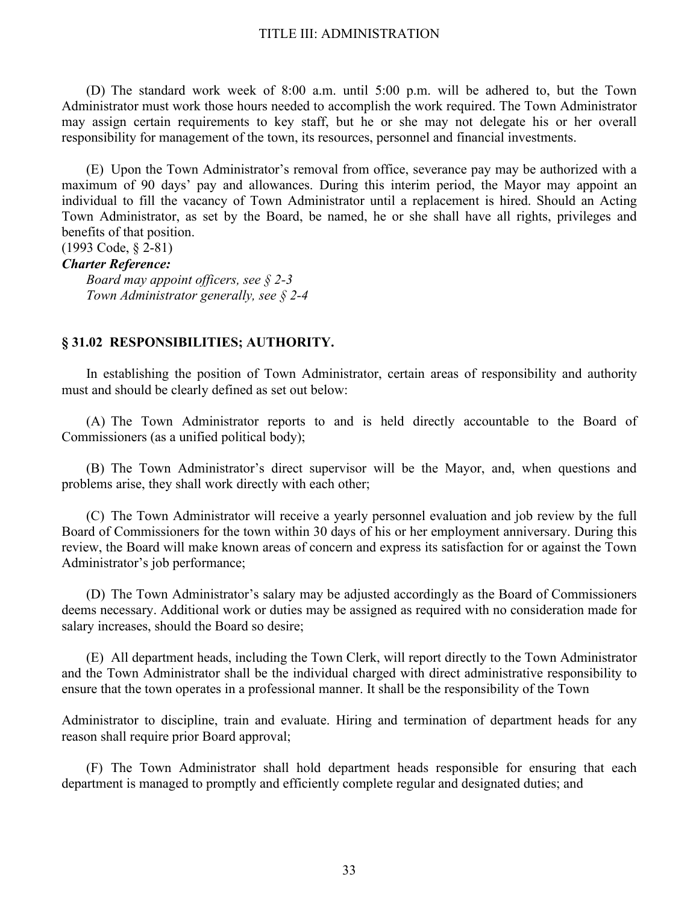(D) The standard work week of 8:00 a.m. until 5:00 p.m. will be adhered to, but the Town Administrator must work those hours needed to accomplish the work required. The Town Administrator may assign certain requirements to key staff, but he or she may not delegate his or her overall responsibility for management of the town, its resources, personnel and financial investments.

(E) Upon the Town Administrator's removal from office, severance pay may be authorized with a maximum of 90 days' pay and allowances. During this interim period, the Mayor may appoint an individual to fill the vacancy of Town Administrator until a replacement is hired. Should an Acting Town Administrator, as set by the Board, be named, he or she shall have all rights, privileges and benefits of that position.

# (1993 Code, § 2-81)

## *Charter Reference:*

 *Board may appoint officers, see § 2-3 Town Administrator generally, see § 2-4* 

### **§ 31.02 RESPONSIBILITIES; AUTHORITY.**

In establishing the position of Town Administrator, certain areas of responsibility and authority must and should be clearly defined as set out below:

(A) The Town Administrator reports to and is held directly accountable to the Board of Commissioners (as a unified political body);

(B) The Town Administrator's direct supervisor will be the Mayor, and, when questions and problems arise, they shall work directly with each other;

(C) The Town Administrator will receive a yearly personnel evaluation and job review by the full Board of Commissioners for the town within 30 days of his or her employment anniversary. During this review, the Board will make known areas of concern and express its satisfaction for or against the Town Administrator's job performance;

(D) The Town Administrator's salary may be adjusted accordingly as the Board of Commissioners deems necessary. Additional work or duties may be assigned as required with no consideration made for salary increases, should the Board so desire;

(E) All department heads, including the Town Clerk, will report directly to the Town Administrator and the Town Administrator shall be the individual charged with direct administrative responsibility to ensure that the town operates in a professional manner. It shall be the responsibility of the Town

Administrator to discipline, train and evaluate. Hiring and termination of department heads for any reason shall require prior Board approval;

(F) The Town Administrator shall hold department heads responsible for ensuring that each department is managed to promptly and efficiently complete regular and designated duties; and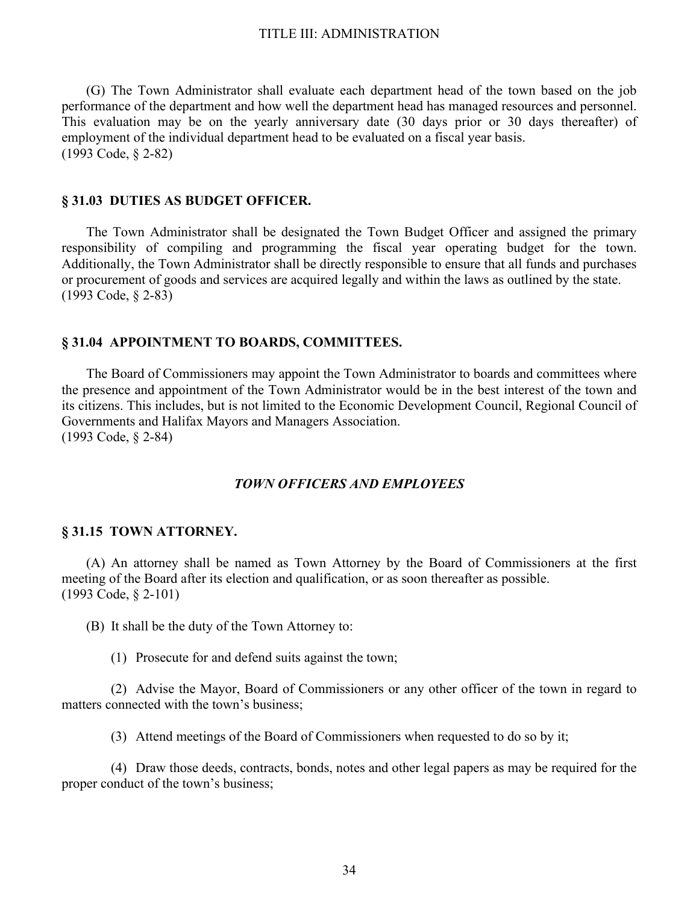(G) The Town Administrator shall evaluate each department head of the town based on the job performance of the department and how well the department head has managed resources and personnel. This evaluation may be on the yearly anniversary date (30 days prior or 30 days thereafter) of employment of the individual department head to be evaluated on a fiscal year basis. (1993 Code, § 2-82)

#### **§ 31.03 DUTIES AS BUDGET OFFICER.**

The Town Administrator shall be designated the Town Budget Officer and assigned the primary responsibility of compiling and programming the fiscal year operating budget for the town. Additionally, the Town Administrator shall be directly responsible to ensure that all funds and purchases or procurement of goods and services are acquired legally and within the laws as outlined by the state. (1993 Code, § 2-83)

#### **§ 31.04 APPOINTMENT TO BOARDS, COMMITTEES.**

The Board of Commissioners may appoint the Town Administrator to boards and committees where the presence and appointment of the Town Administrator would be in the best interest of the town and its citizens. This includes, but is not limited to the Economic Development Council, Regional Council of Governments and Halifax Mayors and Managers Association. (1993 Code, § 2-84)

## *TOWN OFFICERS AND EMPLOYEES*

#### **§ 31.15 TOWN ATTORNEY.**

(A) An attorney shall be named as Town Attorney by the Board of Commissioners at the first meeting of the Board after its election and qualification, or as soon thereafter as possible. (1993 Code, § 2-101)

(B) It shall be the duty of the Town Attorney to:

(1) Prosecute for and defend suits against the town;

 (2) Advise the Mayor, Board of Commissioners or any other officer of the town in regard to matters connected with the town's business;

(3) Attend meetings of the Board of Commissioners when requested to do so by it;

 (4) Draw those deeds, contracts, bonds, notes and other legal papers as may be required for the proper conduct of the town's business;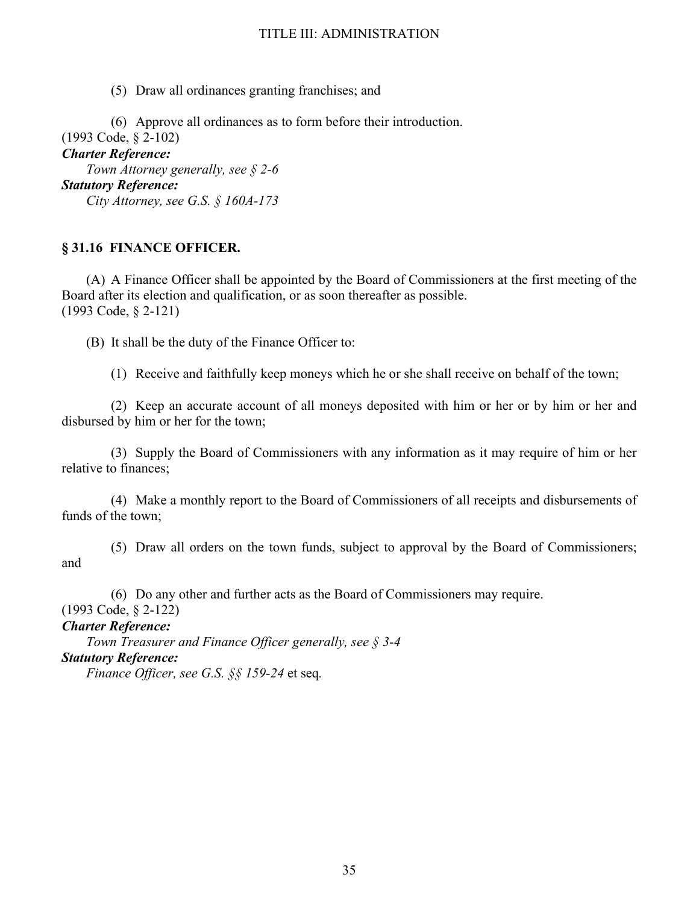(5) Draw all ordinances granting franchises; and

 (6) Approve all ordinances as to form before their introduction. (1993 Code, § 2-102) *Charter Reference: Town Attorney generally, see § 2-6 Statutory Reference: City Attorney, see G.S. § 160A-173* 

## **§ 31.16 FINANCE OFFICER.**

(A) A Finance Officer shall be appointed by the Board of Commissioners at the first meeting of the Board after its election and qualification, or as soon thereafter as possible. (1993 Code, § 2-121)

(B) It shall be the duty of the Finance Officer to:

(1) Receive and faithfully keep moneys which he or she shall receive on behalf of the town;

 (2) Keep an accurate account of all moneys deposited with him or her or by him or her and disbursed by him or her for the town;

 (3) Supply the Board of Commissioners with any information as it may require of him or her relative to finances;

 (4) Make a monthly report to the Board of Commissioners of all receipts and disbursements of funds of the town;

 (5) Draw all orders on the town funds, subject to approval by the Board of Commissioners; and

 (6) Do any other and further acts as the Board of Commissioners may require. (1993 Code, § 2-122)

*Charter Reference:*

 *Town Treasurer and Finance Officer generally, see § 3-4 Statutory Reference: Finance Officer, see G.S. §§ 159-24* et seq*.*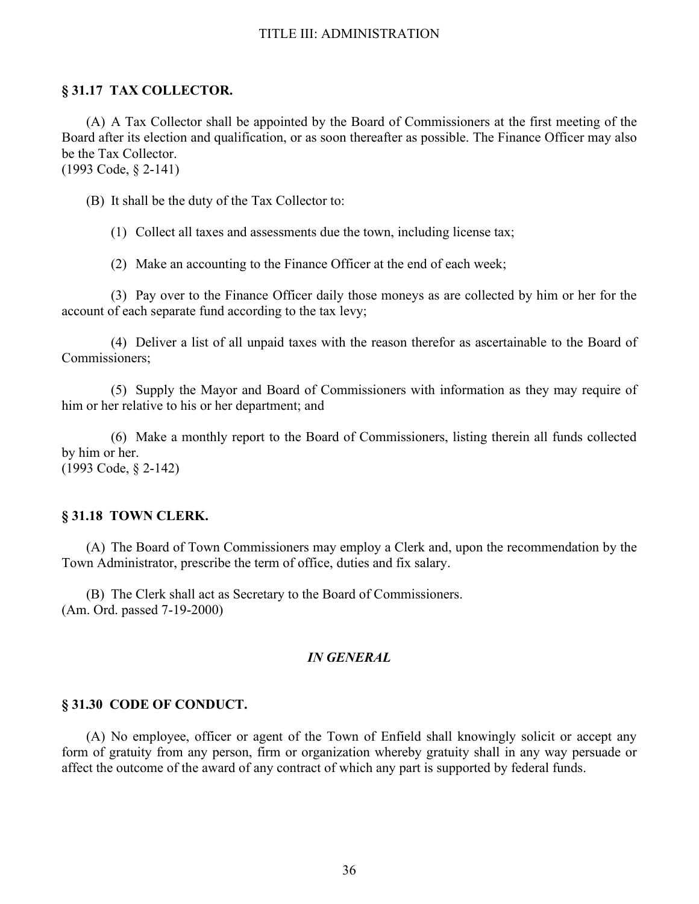## **§ 31.17 TAX COLLECTOR.**

(A) A Tax Collector shall be appointed by the Board of Commissioners at the first meeting of the Board after its election and qualification, or as soon thereafter as possible. The Finance Officer may also be the Tax Collector. (1993 Code, § 2-141)

(B) It shall be the duty of the Tax Collector to:

(1) Collect all taxes and assessments due the town, including license tax;

(2) Make an accounting to the Finance Officer at the end of each week;

 (3) Pay over to the Finance Officer daily those moneys as are collected by him or her for the account of each separate fund according to the tax levy;

 (4) Deliver a list of all unpaid taxes with the reason therefor as ascertainable to the Board of Commissioners;

 (5) Supply the Mayor and Board of Commissioners with information as they may require of him or her relative to his or her department; and

 (6) Make a monthly report to the Board of Commissioners, listing therein all funds collected by him or her. (1993 Code, § 2-142)

### **§ 31.18 TOWN CLERK.**

(A) The Board of Town Commissioners may employ a Clerk and, upon the recommendation by the Town Administrator, prescribe the term of office, duties and fix salary.

(B) The Clerk shall act as Secretary to the Board of Commissioners. (Am. Ord. passed 7-19-2000)

## *IN GENERAL*

### **§ 31.30 CODE OF CONDUCT.**

(A) No employee, officer or agent of the Town of Enfield shall knowingly solicit or accept any form of gratuity from any person, firm or organization whereby gratuity shall in any way persuade or affect the outcome of the award of any contract of which any part is supported by federal funds.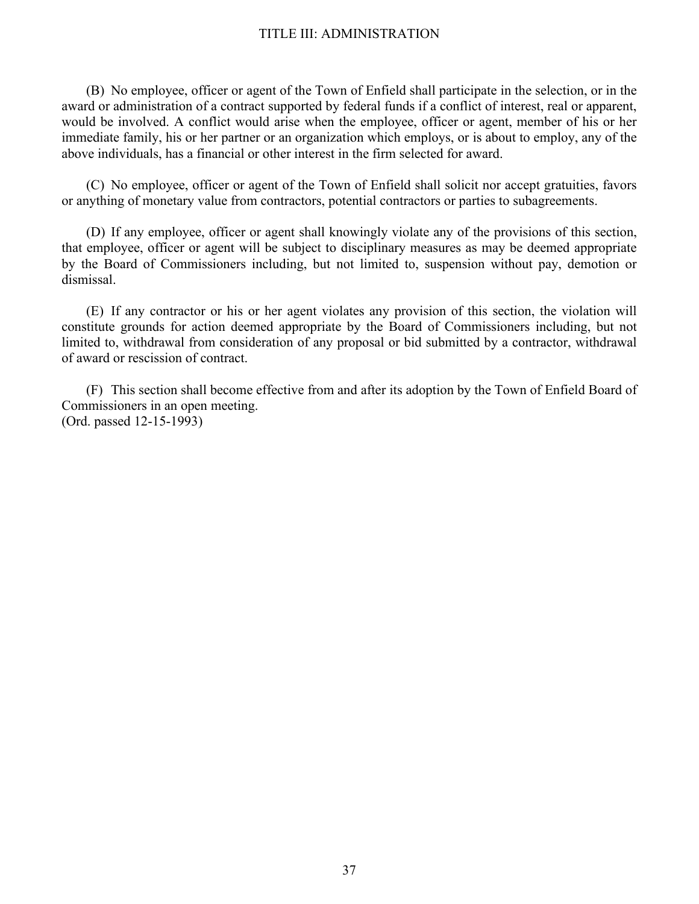(B) No employee, officer or agent of the Town of Enfield shall participate in the selection, or in the award or administration of a contract supported by federal funds if a conflict of interest, real or apparent, would be involved. A conflict would arise when the employee, officer or agent, member of his or her immediate family, his or her partner or an organization which employs, or is about to employ, any of the above individuals, has a financial or other interest in the firm selected for award.

(C) No employee, officer or agent of the Town of Enfield shall solicit nor accept gratuities, favors or anything of monetary value from contractors, potential contractors or parties to subagreements.

(D) If any employee, officer or agent shall knowingly violate any of the provisions of this section, that employee, officer or agent will be subject to disciplinary measures as may be deemed appropriate by the Board of Commissioners including, but not limited to, suspension without pay, demotion or dismissal.

(E) If any contractor or his or her agent violates any provision of this section, the violation will constitute grounds for action deemed appropriate by the Board of Commissioners including, but not limited to, withdrawal from consideration of any proposal or bid submitted by a contractor, withdrawal of award or rescission of contract.

(F) This section shall become effective from and after its adoption by the Town of Enfield Board of Commissioners in an open meeting. (Ord. passed 12-15-1993)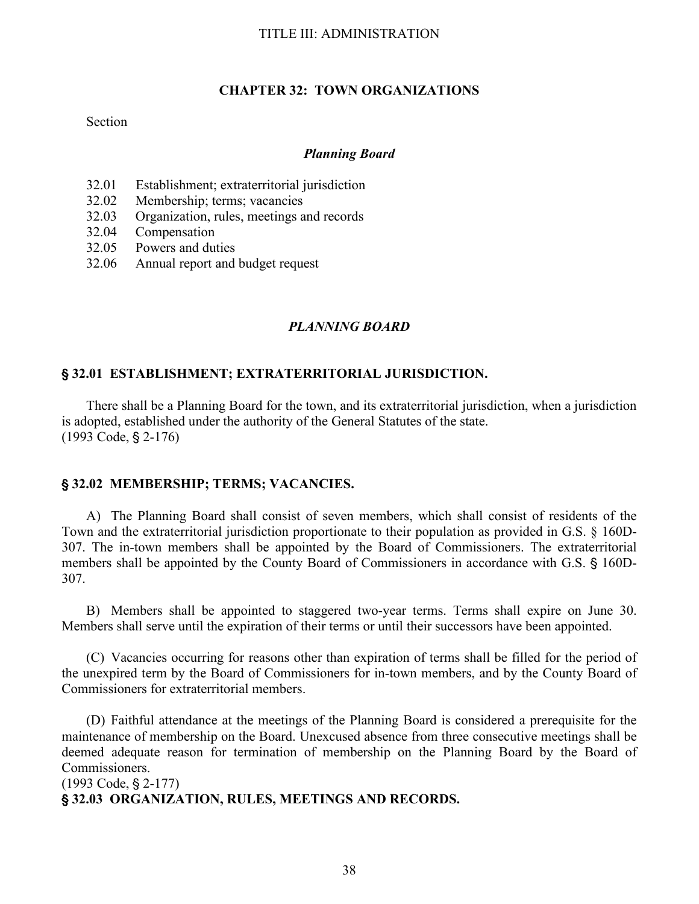### **CHAPTER 32: TOWN ORGANIZATIONS**

### Section

#### *Planning Board*

- 32.01 Establishment; extraterritorial jurisdiction
- 32.02 Membership; terms; vacancies
- 32.03 Organization, rules, meetings and records
- 32.04 Compensation
- 32.05 Powers and duties
- 32.06 Annual report and budget request

## *PLANNING BOARD*

### ' **32.01 ESTABLISHMENT; EXTRATERRITORIAL JURISDICTION.**

There shall be a Planning Board for the town, and its extraterritorial jurisdiction, when a jurisdiction is adopted, established under the authority of the General Statutes of the state.  $(1993 \text{ Code}, \S 2-176)$ 

### ' **32.02 MEMBERSHIP; TERMS; VACANCIES.**

A) The Planning Board shall consist of seven members, which shall consist of residents of the Town and the extraterritorial jurisdiction proportionate to their population as provided in G.S. § 160D-307. The in-town members shall be appointed by the Board of Commissioners. The extraterritorial members shall be appointed by the County Board of Commissioners in accordance with G.S. § 160D-307.

B) Members shall be appointed to staggered two-year terms. Terms shall expire on June 30. Members shall serve until the expiration of their terms or until their successors have been appointed.

(C) Vacancies occurring for reasons other than expiration of terms shall be filled for the period of the unexpired term by the Board of Commissioners for in-town members, and by the County Board of Commissioners for extraterritorial members.

(D) Faithful attendance at the meetings of the Planning Board is considered a prerequisite for the maintenance of membership on the Board. Unexcused absence from three consecutive meetings shall be deemed adequate reason for termination of membership on the Planning Board by the Board of Commissioners.

 $(1993 \text{ Code}, \text{§ } 2-177)$ 

' **32.03 ORGANIZATION, RULES, MEETINGS AND RECORDS.**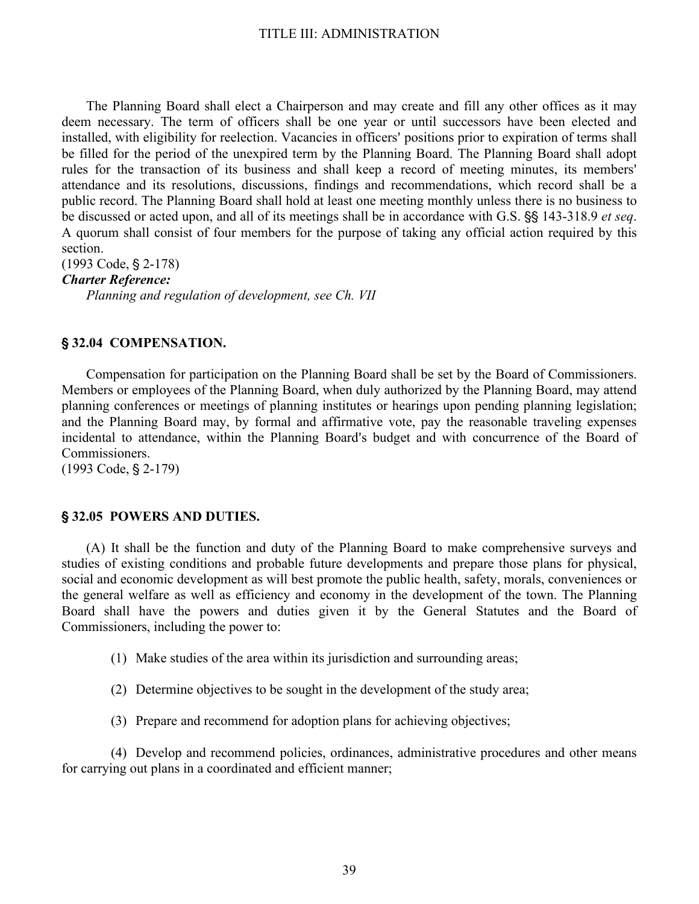The Planning Board shall elect a Chairperson and may create and fill any other offices as it may deem necessary. The term of officers shall be one year or until successors have been elected and installed, with eligibility for reelection. Vacancies in officers' positions prior to expiration of terms shall be filled for the period of the unexpired term by the Planning Board. The Planning Board shall adopt rules for the transaction of its business and shall keep a record of meeting minutes, its members' attendance and its resolutions, discussions, findings and recommendations, which record shall be a public record. The Planning Board shall hold at least one meeting monthly unless there is no business to be discussed or acted upon, and all of its meetings shall be in accordance with G.S.  $\S$  143-318.9 *et seq.* A quorum shall consist of four members for the purpose of taking any official action required by this section.

 $(1993 \text{ Code}, \S 2-178)$ *Charter Reference: Planning and regulation of development, see Ch. VII*

## ' **32.04 COMPENSATION.**

Compensation for participation on the Planning Board shall be set by the Board of Commissioners. Members or employees of the Planning Board, when duly authorized by the Planning Board, may attend planning conferences or meetings of planning institutes or hearings upon pending planning legislation; and the Planning Board may, by formal and affirmative vote, pay the reasonable traveling expenses incidental to attendance, within the Planning Board's budget and with concurrence of the Board of Commissioners.

 $(1993 \text{ Code}, \text{\$2-179})$ 

### ' **32.05 POWERS AND DUTIES.**

(A) It shall be the function and duty of the Planning Board to make comprehensive surveys and studies of existing conditions and probable future developments and prepare those plans for physical, social and economic development as will best promote the public health, safety, morals, conveniences or the general welfare as well as efficiency and economy in the development of the town. The Planning Board shall have the powers and duties given it by the General Statutes and the Board of Commissioners, including the power to:

- (1) Make studies of the area within its jurisdiction and surrounding areas;
- (2) Determine objectives to be sought in the development of the study area;
- (3) Prepare and recommend for adoption plans for achieving objectives;

(4) Develop and recommend policies, ordinances, administrative procedures and other means for carrying out plans in a coordinated and efficient manner;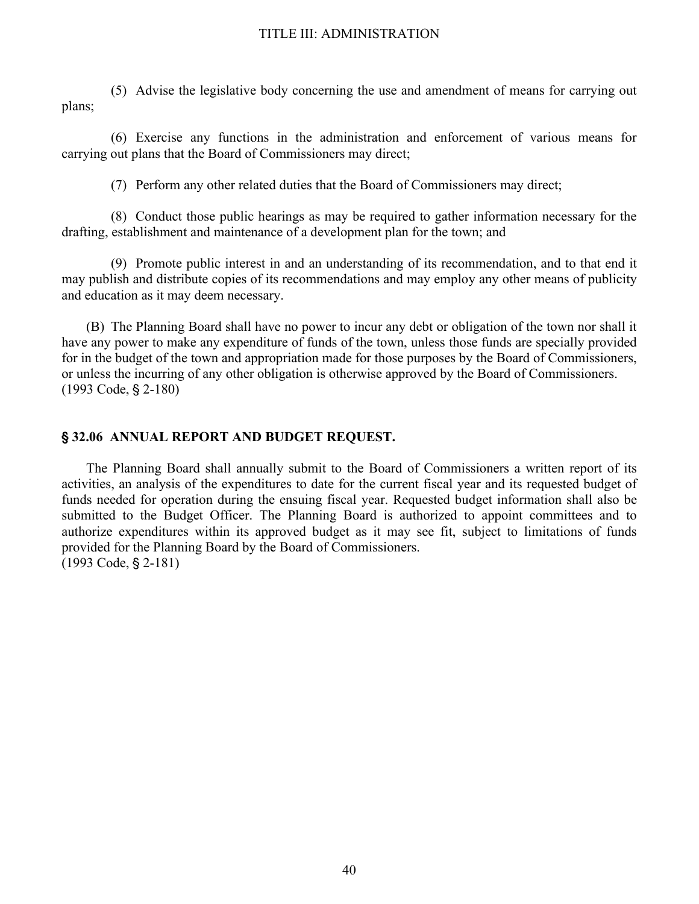(5) Advise the legislative body concerning the use and amendment of means for carrying out plans;

(6) Exercise any functions in the administration and enforcement of various means for carrying out plans that the Board of Commissioners may direct;

(7) Perform any other related duties that the Board of Commissioners may direct;

(8) Conduct those public hearings as may be required to gather information necessary for the drafting, establishment and maintenance of a development plan for the town; and

(9) Promote public interest in and an understanding of its recommendation, and to that end it may publish and distribute copies of its recommendations and may employ any other means of publicity and education as it may deem necessary.

(B) The Planning Board shall have no power to incur any debt or obligation of the town nor shall it have any power to make any expenditure of funds of the town, unless those funds are specially provided for in the budget of the town and appropriation made for those purposes by the Board of Commissioners, or unless the incurring of any other obligation is otherwise approved by the Board of Commissioners. (1993 Code, § 2-180)

#### ' **32.06 ANNUAL REPORT AND BUDGET REQUEST.**

The Planning Board shall annually submit to the Board of Commissioners a written report of its activities, an analysis of the expenditures to date for the current fiscal year and its requested budget of funds needed for operation during the ensuing fiscal year. Requested budget information shall also be submitted to the Budget Officer. The Planning Board is authorized to appoint committees and to authorize expenditures within its approved budget as it may see fit, subject to limitations of funds provided for the Planning Board by the Board of Commissioners.  $(1993 \text{ Code}, \text{§ } 2-181)$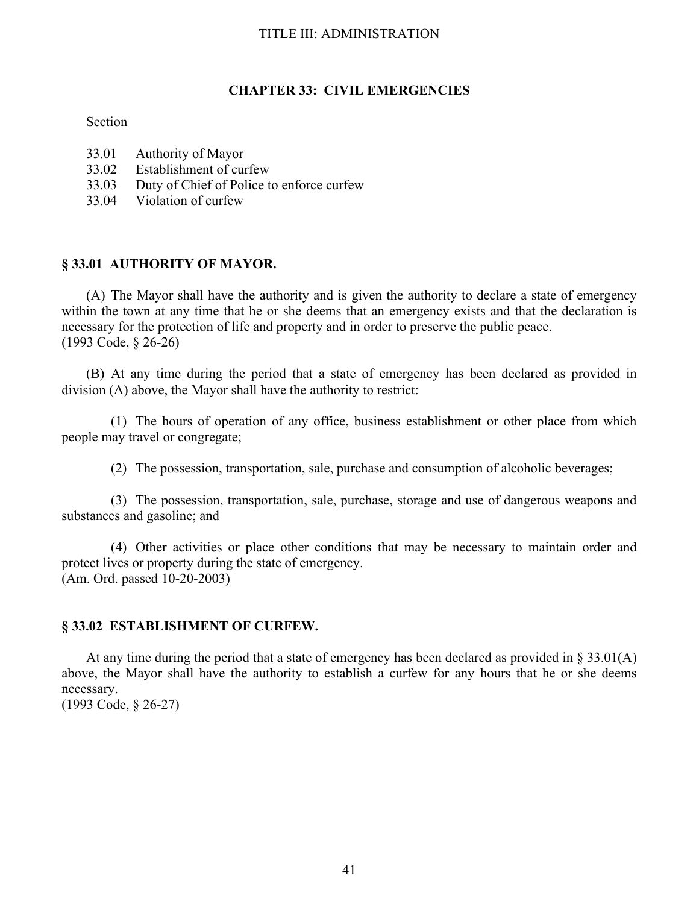#### **CHAPTER 33: CIVIL EMERGENCIES**

#### Section

- 33.01 Authority of Mayor<br>33.02 Establishment of cu
- 33.02 Establishment of curfew<br>33.03 Duty of Chief of Police t
- Duty of Chief of Police to enforce curfew
- 33.04 Violation of curfew

## **§ 33.01 AUTHORITY OF MAYOR.**

(A) The Mayor shall have the authority and is given the authority to declare a state of emergency within the town at any time that he or she deems that an emergency exists and that the declaration is necessary for the protection of life and property and in order to preserve the public peace. (1993 Code, § 26-26)

(B) At any time during the period that a state of emergency has been declared as provided in division (A) above, the Mayor shall have the authority to restrict:

 (1) The hours of operation of any office, business establishment or other place from which people may travel or congregate;

(2) The possession, transportation, sale, purchase and consumption of alcoholic beverages;

 (3) The possession, transportation, sale, purchase, storage and use of dangerous weapons and substances and gasoline; and

 (4) Other activities or place other conditions that may be necessary to maintain order and protect lives or property during the state of emergency. (Am. Ord. passed 10-20-2003)

#### **§ 33.02 ESTABLISHMENT OF CURFEW.**

At any time during the period that a state of emergency has been declared as provided in § 33.01(A) above, the Mayor shall have the authority to establish a curfew for any hours that he or she deems necessary.

(1993 Code, § 26-27)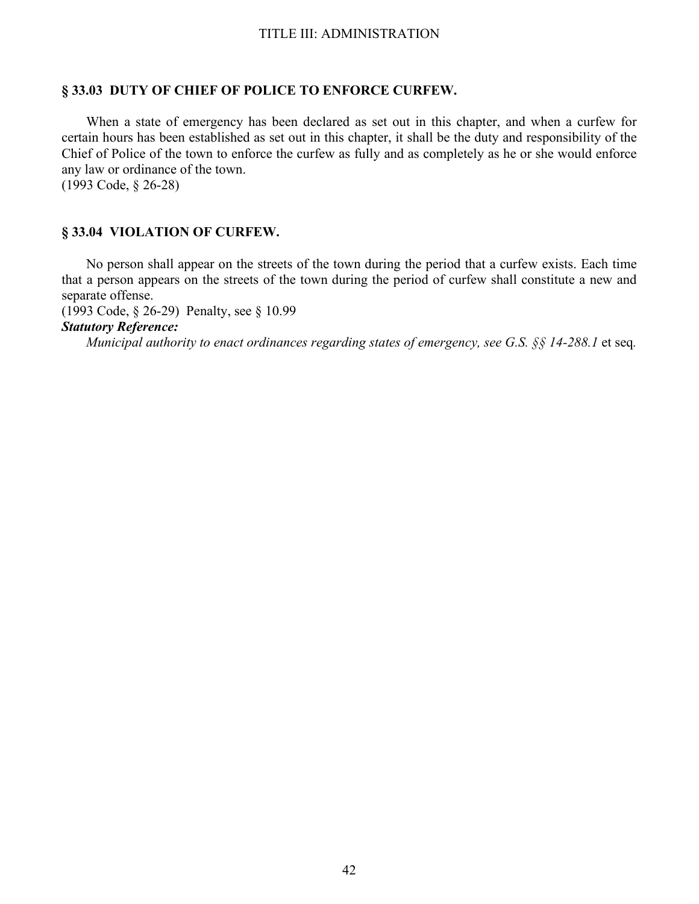## **§ 33.03 DUTY OF CHIEF OF POLICE TO ENFORCE CURFEW.**

When a state of emergency has been declared as set out in this chapter, and when a curfew for certain hours has been established as set out in this chapter, it shall be the duty and responsibility of the Chief of Police of the town to enforce the curfew as fully and as completely as he or she would enforce any law or ordinance of the town.

(1993 Code, § 26-28)

## **§ 33.04 VIOLATION OF CURFEW.**

No person shall appear on the streets of the town during the period that a curfew exists. Each time that a person appears on the streets of the town during the period of curfew shall constitute a new and separate offense.

(1993 Code, § 26-29) Penalty, see § 10.99

*Statutory Reference:*

 *Municipal authority to enact ordinances regarding states of emergency, see G.S. §§ 14-288.1* et seq*.*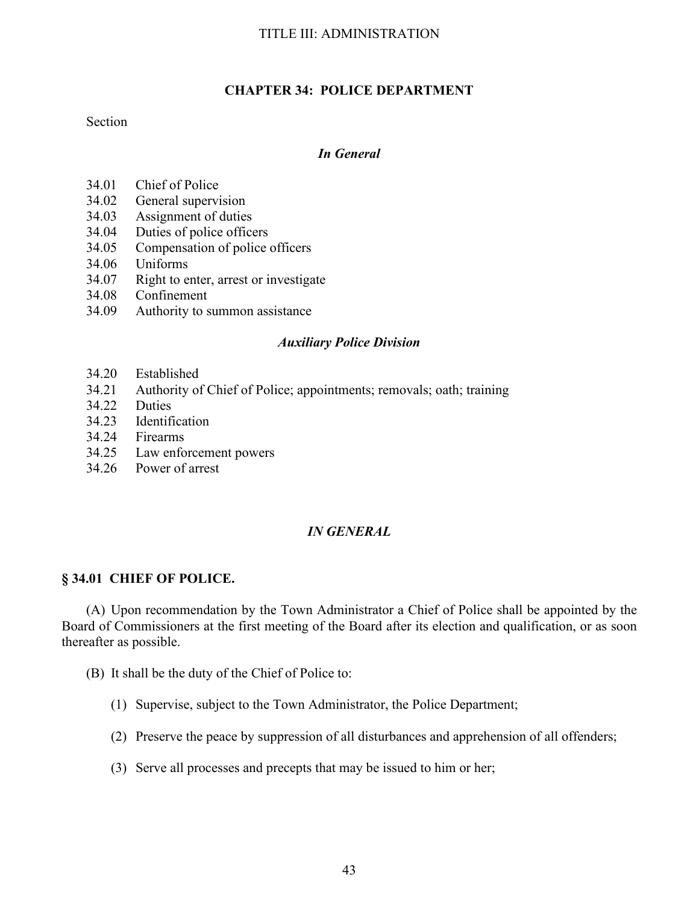## **CHAPTER 34: POLICE DEPARTMENT**

### Section

## *In General*

- 34.01 Chief of Police
- 34.02 General supervision
- 34.03 Assignment of duties
- 34.04 Duties of police officers
- 34.05 Compensation of police officers
- 34.06 Uniforms
- 34.07 Right to enter, arrest or investigate
- 34.08 Confinement
- 34.09 Authority to summon assistance

## *Auxiliary Police Division*

- 34.20 Established
- 34.21 Authority of Chief of Police; appointments; removals; oath; training
- 34.22 Duties
- 34.23 Identification
- 34.24 Firearms
- 34.25 Law enforcement powers
- 34.26 Power of arrest

## *IN GENERAL*

## **§ 34.01 CHIEF OF POLICE.**

(A) Upon recommendation by the Town Administrator a Chief of Police shall be appointed by the Board of Commissioners at the first meeting of the Board after its election and qualification, or as soon thereafter as possible.

- (B) It shall be the duty of the Chief of Police to:
	- (1) Supervise, subject to the Town Administrator, the Police Department;
	- (2) Preserve the peace by suppression of all disturbances and apprehension of all offenders;
	- (3) Serve all processes and precepts that may be issued to him or her;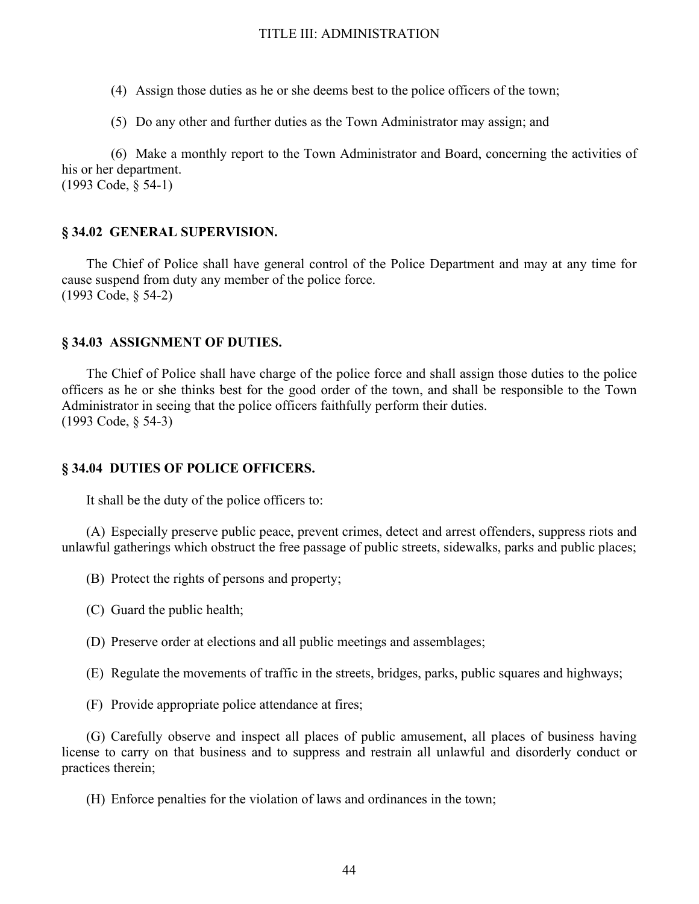- (4) Assign those duties as he or she deems best to the police officers of the town;
- (5) Do any other and further duties as the Town Administrator may assign; and

 (6) Make a monthly report to the Town Administrator and Board, concerning the activities of his or her department. (1993 Code, § 54-1)

## **§ 34.02 GENERAL SUPERVISION.**

The Chief of Police shall have general control of the Police Department and may at any time for cause suspend from duty any member of the police force. (1993 Code, § 54-2)

## **§ 34.03 ASSIGNMENT OF DUTIES.**

The Chief of Police shall have charge of the police force and shall assign those duties to the police officers as he or she thinks best for the good order of the town, and shall be responsible to the Town Administrator in seeing that the police officers faithfully perform their duties. (1993 Code, § 54-3)

### **§ 34.04 DUTIES OF POLICE OFFICERS.**

It shall be the duty of the police officers to:

(A) Especially preserve public peace, prevent crimes, detect and arrest offenders, suppress riots and unlawful gatherings which obstruct the free passage of public streets, sidewalks, parks and public places;

- (B) Protect the rights of persons and property;
- (C) Guard the public health;
- (D) Preserve order at elections and all public meetings and assemblages;
- (E) Regulate the movements of traffic in the streets, bridges, parks, public squares and highways;
- (F) Provide appropriate police attendance at fires;

(G) Carefully observe and inspect all places of public amusement, all places of business having license to carry on that business and to suppress and restrain all unlawful and disorderly conduct or practices therein;

(H) Enforce penalties for the violation of laws and ordinances in the town;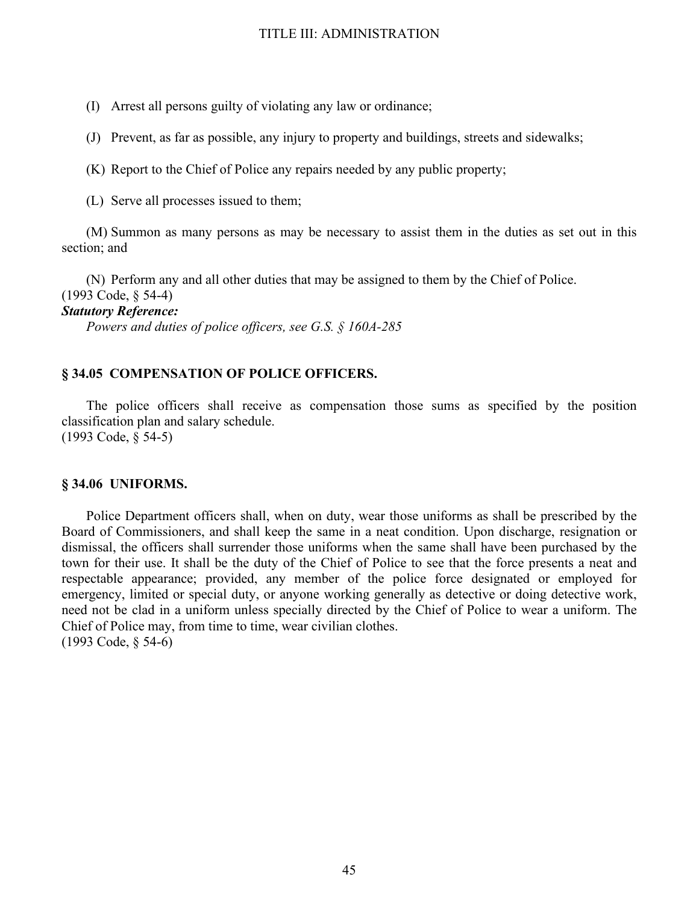(I) Arrest all persons guilty of violating any law or ordinance;

(J) Prevent, as far as possible, any injury to property and buildings, streets and sidewalks;

(K) Report to the Chief of Police any repairs needed by any public property;

(L) Serve all processes issued to them;

(M) Summon as many persons as may be necessary to assist them in the duties as set out in this section; and

(N) Perform any and all other duties that may be assigned to them by the Chief of Police.

(1993 Code, § 54-4)

## *Statutory Reference:*

 *Powers and duties of police officers, see G.S. § 160A-285*

### **§ 34.05 COMPENSATION OF POLICE OFFICERS.**

The police officers shall receive as compensation those sums as specified by the position classification plan and salary schedule. (1993 Code, § 54-5)

#### **§ 34.06 UNIFORMS.**

Police Department officers shall, when on duty, wear those uniforms as shall be prescribed by the Board of Commissioners, and shall keep the same in a neat condition. Upon discharge, resignation or dismissal, the officers shall surrender those uniforms when the same shall have been purchased by the town for their use. It shall be the duty of the Chief of Police to see that the force presents a neat and respectable appearance; provided, any member of the police force designated or employed for emergency, limited or special duty, or anyone working generally as detective or doing detective work, need not be clad in a uniform unless specially directed by the Chief of Police to wear a uniform. The Chief of Police may, from time to time, wear civilian clothes. (1993 Code, § 54-6)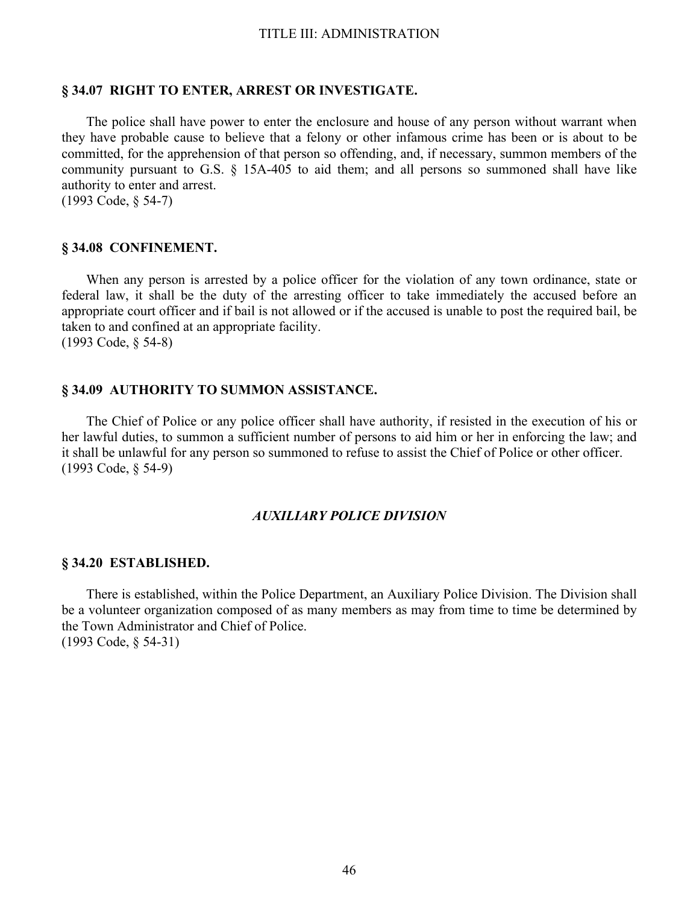#### **§ 34.07 RIGHT TO ENTER, ARREST OR INVESTIGATE.**

The police shall have power to enter the enclosure and house of any person without warrant when they have probable cause to believe that a felony or other infamous crime has been or is about to be committed, for the apprehension of that person so offending, and, if necessary, summon members of the community pursuant to G.S. § 15A-405 to aid them; and all persons so summoned shall have like authority to enter and arrest.

(1993 Code, § 54-7)

#### **§ 34.08 CONFINEMENT.**

When any person is arrested by a police officer for the violation of any town ordinance, state or federal law, it shall be the duty of the arresting officer to take immediately the accused before an appropriate court officer and if bail is not allowed or if the accused is unable to post the required bail, be taken to and confined at an appropriate facility. (1993 Code, § 54-8)

### **§ 34.09 AUTHORITY TO SUMMON ASSISTANCE.**

The Chief of Police or any police officer shall have authority, if resisted in the execution of his or her lawful duties, to summon a sufficient number of persons to aid him or her in enforcing the law; and it shall be unlawful for any person so summoned to refuse to assist the Chief of Police or other officer. (1993 Code, § 54-9)

#### *AUXILIARY POLICE DIVISION*

#### **§ 34.20 ESTABLISHED.**

There is established, within the Police Department, an Auxiliary Police Division. The Division shall be a volunteer organization composed of as many members as may from time to time be determined by the Town Administrator and Chief of Police. (1993 Code, § 54-31)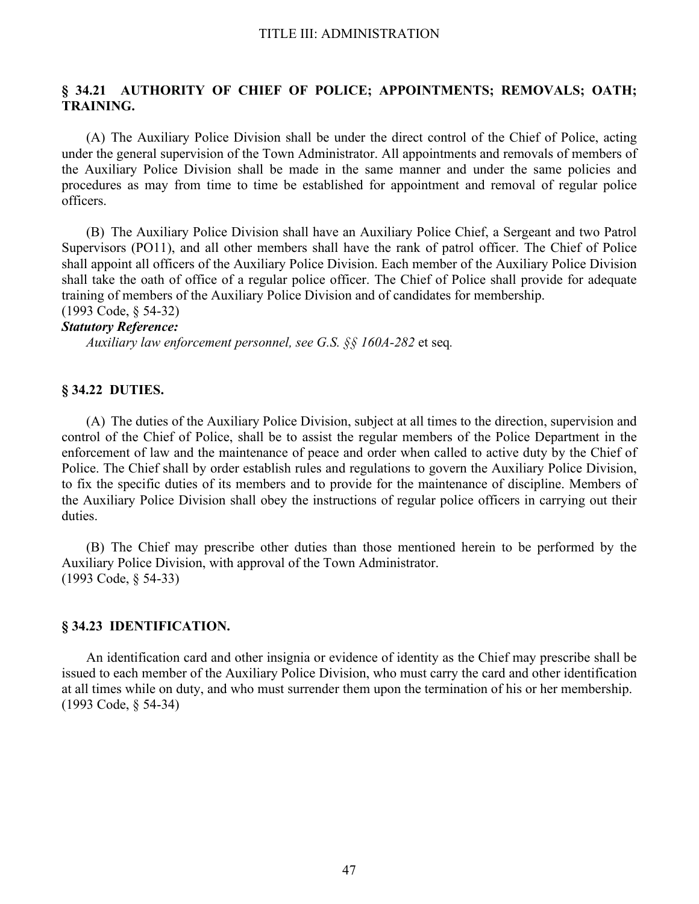## **§ 34.21 AUTHORITY OF CHIEF OF POLICE; APPOINTMENTS; REMOVALS; OATH; TRAINING.**

(A) The Auxiliary Police Division shall be under the direct control of the Chief of Police, acting under the general supervision of the Town Administrator. All appointments and removals of members of the Auxiliary Police Division shall be made in the same manner and under the same policies and procedures as may from time to time be established for appointment and removal of regular police officers.

(B) The Auxiliary Police Division shall have an Auxiliary Police Chief, a Sergeant and two Patrol Supervisors (PO11), and all other members shall have the rank of patrol officer. The Chief of Police shall appoint all officers of the Auxiliary Police Division. Each member of the Auxiliary Police Division shall take the oath of office of a regular police officer. The Chief of Police shall provide for adequate training of members of the Auxiliary Police Division and of candidates for membership. (1993 Code, § 54-32)

#### *Statutory Reference:*

 *Auxiliary law enforcement personnel, see G.S. §§ 160A-282* et seq*.*

## **§ 34.22 DUTIES.**

(A) The duties of the Auxiliary Police Division, subject at all times to the direction, supervision and control of the Chief of Police, shall be to assist the regular members of the Police Department in the enforcement of law and the maintenance of peace and order when called to active duty by the Chief of Police. The Chief shall by order establish rules and regulations to govern the Auxiliary Police Division, to fix the specific duties of its members and to provide for the maintenance of discipline. Members of the Auxiliary Police Division shall obey the instructions of regular police officers in carrying out their duties.

(B) The Chief may prescribe other duties than those mentioned herein to be performed by the Auxiliary Police Division, with approval of the Town Administrator. (1993 Code, § 54-33)

#### **§ 34.23 IDENTIFICATION.**

An identification card and other insignia or evidence of identity as the Chief may prescribe shall be issued to each member of the Auxiliary Police Division, who must carry the card and other identification at all times while on duty, and who must surrender them upon the termination of his or her membership. (1993 Code, § 54-34)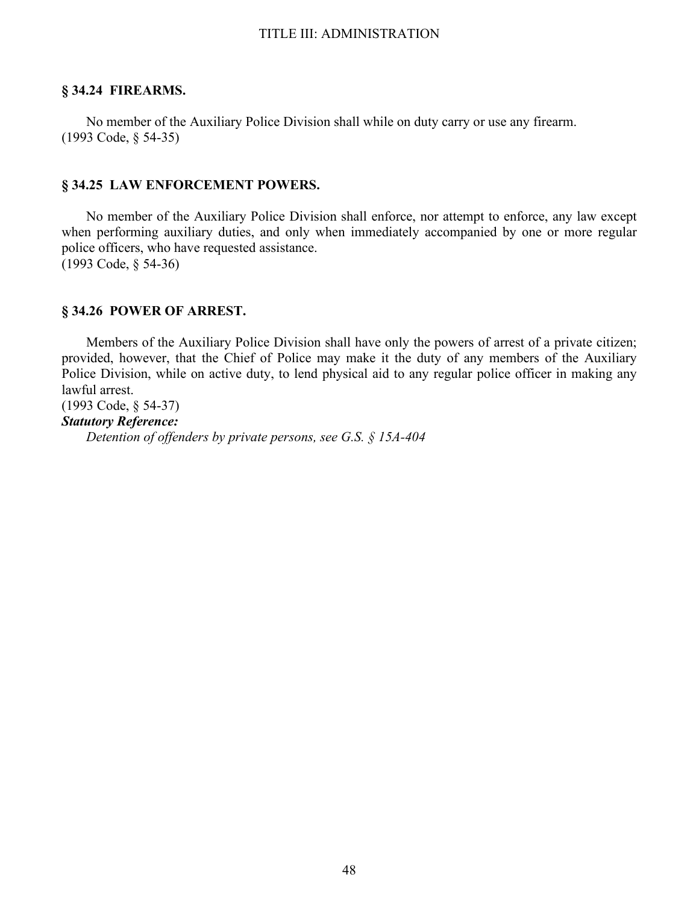## **§ 34.24 FIREARMS.**

 No member of the Auxiliary Police Division shall while on duty carry or use any firearm. (1993 Code, § 54-35)

### **§ 34.25 LAW ENFORCEMENT POWERS.**

No member of the Auxiliary Police Division shall enforce, nor attempt to enforce, any law except when performing auxiliary duties, and only when immediately accompanied by one or more regular police officers, who have requested assistance. (1993 Code, § 54-36)

## **§ 34.26 POWER OF ARREST.**

Members of the Auxiliary Police Division shall have only the powers of arrest of a private citizen; provided, however, that the Chief of Police may make it the duty of any members of the Auxiliary Police Division, while on active duty, to lend physical aid to any regular police officer in making any lawful arrest.

(1993 Code, § 54-37)

## *Statutory Reference:*

 *Detention of offenders by private persons, see G.S. § 15A-404*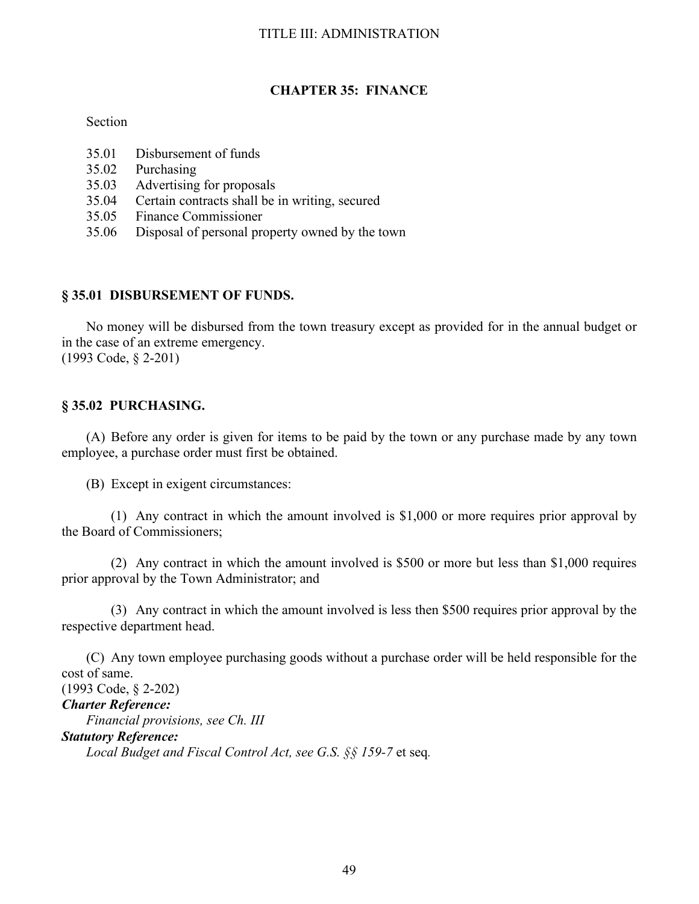## **CHAPTER 35: FINANCE**

## Section

- 35.01 Disbursement of funds
- 35.02 Purchasing
- 35.03 Advertising for proposals
- 35.04 Certain contracts shall be in writing, secured
- 35.05 Finance Commissioner
- 35.06 Disposal of personal property owned by the town

## **§ 35.01 DISBURSEMENT OF FUNDS.**

No money will be disbursed from the town treasury except as provided for in the annual budget or in the case of an extreme emergency. (1993 Code, § 2-201)

## **§ 35.02 PURCHASING.**

(A) Before any order is given for items to be paid by the town or any purchase made by any town employee, a purchase order must first be obtained.

(B) Except in exigent circumstances:

 (1) Any contract in which the amount involved is \$1,000 or more requires prior approval by the Board of Commissioners;

 (2) Any contract in which the amount involved is \$500 or more but less than \$1,000 requires prior approval by the Town Administrator; and

 (3) Any contract in which the amount involved is less then \$500 requires prior approval by the respective department head.

(C) Any town employee purchasing goods without a purchase order will be held responsible for the cost of same.

(1993 Code, § 2-202) *Charter Reference: Financial provisions, see Ch. III Statutory Reference: Local Budget and Fiscal Control Act, see G.S. §§ 159-7* et seq*.*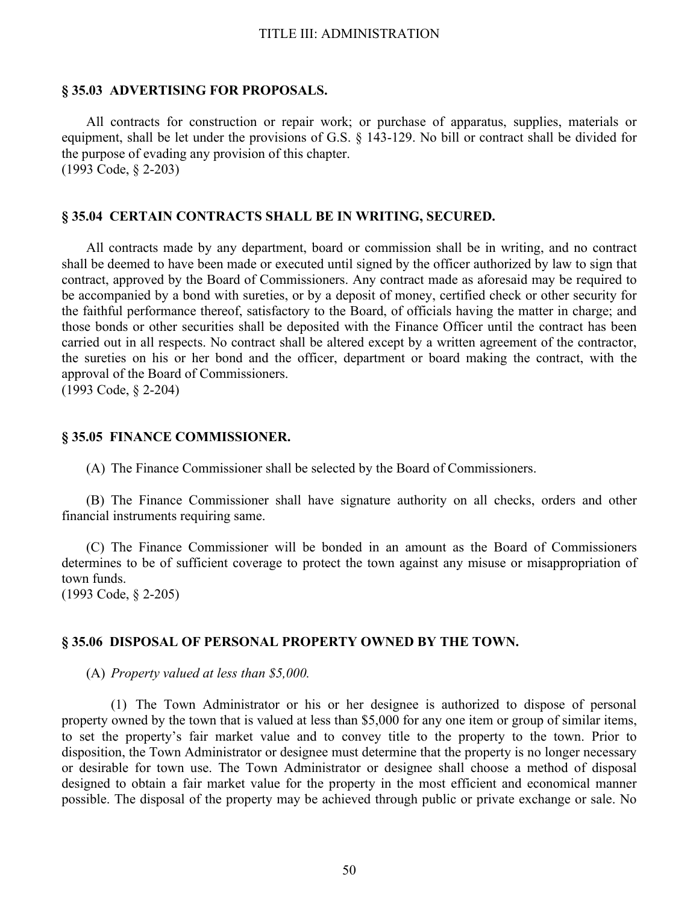#### **§ 35.03 ADVERTISING FOR PROPOSALS.**

All contracts for construction or repair work; or purchase of apparatus, supplies, materials or equipment, shall be let under the provisions of G.S. § 143-129. No bill or contract shall be divided for the purpose of evading any provision of this chapter. (1993 Code, § 2-203)

#### **§ 35.04 CERTAIN CONTRACTS SHALL BE IN WRITING, SECURED.**

All contracts made by any department, board or commission shall be in writing, and no contract shall be deemed to have been made or executed until signed by the officer authorized by law to sign that contract, approved by the Board of Commissioners. Any contract made as aforesaid may be required to be accompanied by a bond with sureties, or by a deposit of money, certified check or other security for the faithful performance thereof, satisfactory to the Board, of officials having the matter in charge; and those bonds or other securities shall be deposited with the Finance Officer until the contract has been carried out in all respects. No contract shall be altered except by a written agreement of the contractor, the sureties on his or her bond and the officer, department or board making the contract, with the approval of the Board of Commissioners. (1993 Code, § 2-204)

## **§ 35.05 FINANCE COMMISSIONER.**

(A) The Finance Commissioner shall be selected by the Board of Commissioners.

(B) The Finance Commissioner shall have signature authority on all checks, orders and other financial instruments requiring same.

(C) The Finance Commissioner will be bonded in an amount as the Board of Commissioners determines to be of sufficient coverage to protect the town against any misuse or misappropriation of town funds.

(1993 Code, § 2-205)

#### **§ 35.06 DISPOSAL OF PERSONAL PROPERTY OWNED BY THE TOWN.**

(A) *Property valued at less than \$5,000.*

 (1) The Town Administrator or his or her designee is authorized to dispose of personal property owned by the town that is valued at less than \$5,000 for any one item or group of similar items, to set the property's fair market value and to convey title to the property to the town. Prior to disposition, the Town Administrator or designee must determine that the property is no longer necessary or desirable for town use. The Town Administrator or designee shall choose a method of disposal designed to obtain a fair market value for the property in the most efficient and economical manner possible. The disposal of the property may be achieved through public or private exchange or sale. No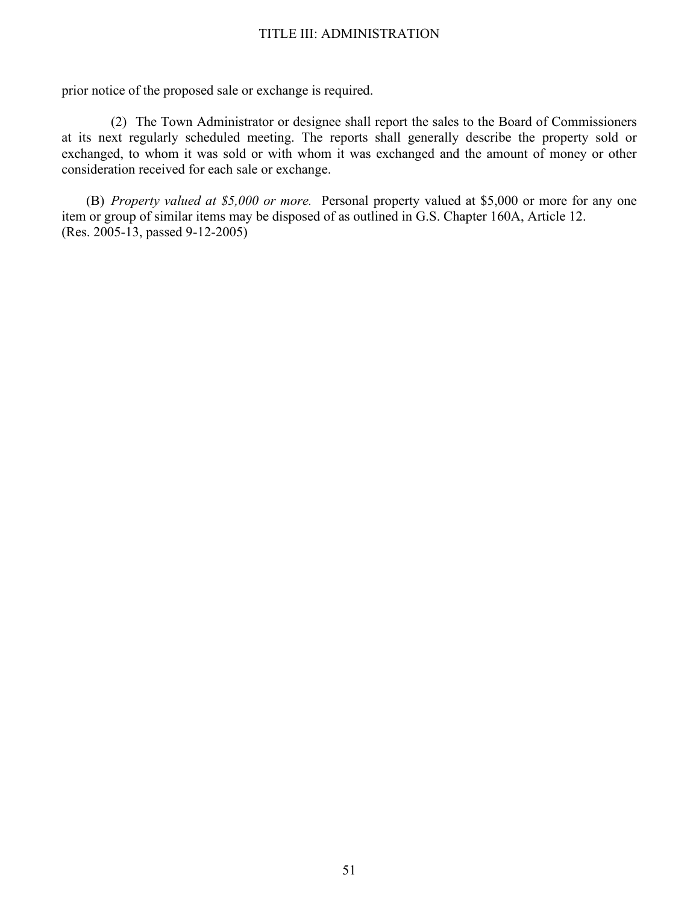prior notice of the proposed sale or exchange is required.

 (2) The Town Administrator or designee shall report the sales to the Board of Commissioners at its next regularly scheduled meeting. The reports shall generally describe the property sold or exchanged, to whom it was sold or with whom it was exchanged and the amount of money or other consideration received for each sale or exchange.

(B) *Property valued at \$5,000 or more.* Personal property valued at \$5,000 or more for any one item or group of similar items may be disposed of as outlined in G.S. Chapter 160A, Article 12. (Res. 2005-13, passed 9-12-2005)